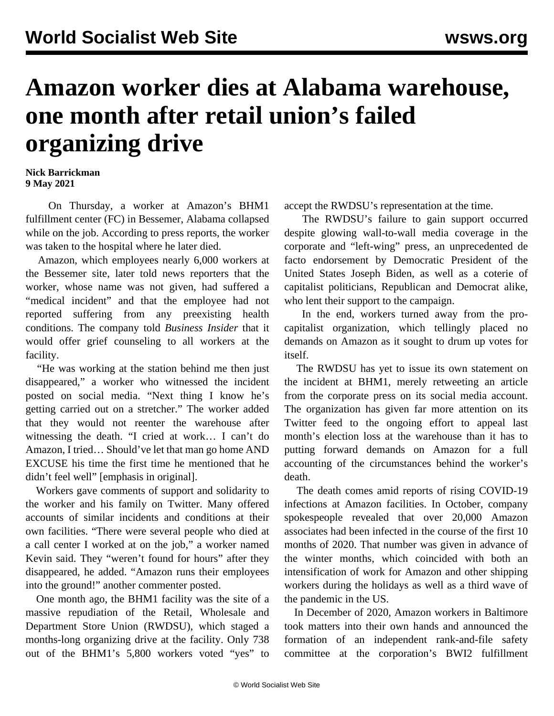## **Amazon worker dies at Alabama warehouse, one month after retail union's failed organizing drive**

## **Nick Barrickman 9 May 2021**

 On Thursday, a worker at Amazon's BHM1 fulfillment center (FC) in Bessemer, Alabama collapsed while on the job. According to press reports, the worker was taken to the hospital where he later died.

 Amazon, which employees nearly 6,000 workers at the Bessemer site, later told news reporters that the worker, whose name was not given, had suffered a "medical incident" and that the employee had not reported suffering from any preexisting health conditions. The company told *Business Insider* that it would offer grief counseling to all workers at the facility.

 "He was working at the station behind me then just disappeared," a worker who witnessed the incident posted on social media. "Next thing I know he's getting carried out on a stretcher." The worker added that they would not reenter the warehouse after witnessing the death. "I cried at work… I can't do Amazon, I tried… Should've let that man go home AND EXCUSE his time the first time he mentioned that he didn't feel well" [emphasis in original].

 Workers gave comments of support and solidarity to the worker and his family on Twitter. Many offered accounts of similar incidents and conditions at their own facilities. "There were several people who died at a call center I worked at on the job," a worker named Kevin said. They "weren't found for hours" after they disappeared, he added. "Amazon runs their employees into the ground!" another commenter posted.

 One month ago, the BHM1 facility was the site of a [massive repudiation](/en/articles/2021/04/10/pers-a10.html) of the Retail, Wholesale and Department Store Union (RWDSU), which staged a months-long organizing drive at the facility. Only 738 out of the BHM1's 5,800 workers voted "yes" to

accept the RWDSU's representation at the time.

 The RWDSU's failure to gain support occurred despite glowing wall-to-wall media coverage in the corporate and "left-wing" press, an [unprecedented de](/en/articles/2021/03/03/pers-m03.html) facto endorsement by Democratic President of the United States Joseph Biden, as well as a coterie of capitalist politicians, [Republican](/en/articles/2021/03/18/amaz-m18.html) and [Democrat](/en/articles/2021/03/29/amaz-m29.html) alike, who lent their support to the campaign.

 In the end, workers [turned away](/en/articles/2021/03/30/bess-m30.html) from the [pro](/en/articles/2021/03/26/rwds-m26.html)[capitalist](/en/articles/2021/03/26/rwds-m26.html) organization, which tellingly placed [no](/en/articles/2021/03/16/amaz-m16.html) [demands](/en/articles/2021/03/16/amaz-m16.html) on Amazon as it sought to drum up votes for itself.

 The RWDSU has yet to issue its own statement on the incident at BHM1, merely retweeting an article from the corporate press on its social media account. The organization has given far more attention on its Twitter feed to the ongoing effort to appeal last month's election loss at the warehouse than it has to putting forward demands on Amazon for a full accounting of the circumstances behind the worker's death.

 The death comes amid reports of [rising](/en/articles/2021/04/05/balt-a05.html) COVID-19 infections at Amazon facilities. In October, company spokespeople revealed that over [20,000 Amazon](/en/articles/2020/10/03/amaz-o03.html) [associates](/en/articles/2020/10/03/amaz-o03.html) had been infected in the course of the first 10 months of 2020. That number was given in advance of the winter months, which coincided with both an [intensification](/en/articles/2020/10/15/ama-o15.html) of work for Amazon and other shipping workers during the holidays as well as a third wave of the pandemic in the US.

 In December of 2020, Amazon workers in Baltimore took matters into their own hands and announced the [formation of an independent rank-and-file safety](/en/articles/2020/12/14/bwi2-d14.html) [committee](/en/articles/2020/12/14/bwi2-d14.html) at the corporation's BWI2 fulfillment